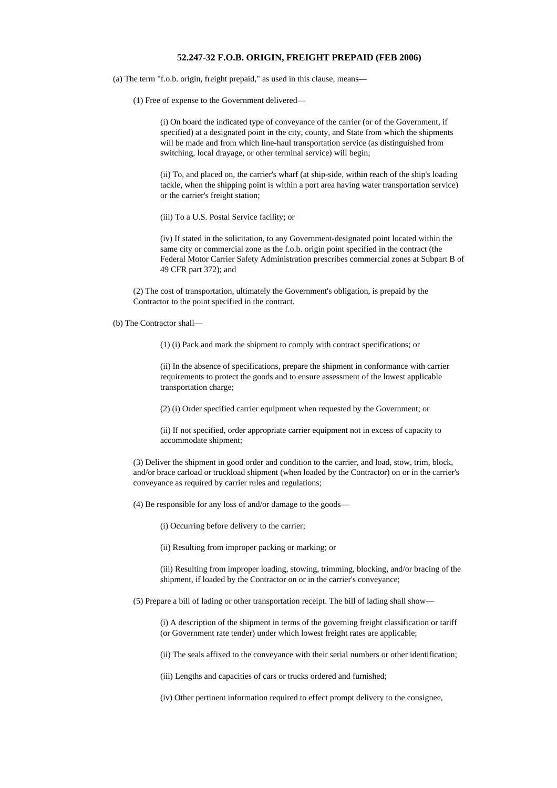## **52.247-32 F.O.B. ORIGIN, FREIGHT PREPAID (FEB 2006)**

(a) The term "f.o.b. origin, freight prepaid," as used in this clause, means—

(1) Free of expense to the Government delivered—

(i) On board the indicated type of conveyance of the carrier (or of the Government, if specified) at a designated point in the city, county, and State from which the shipments will be made and from which line-haul transportation service (as distinguished from switching, local drayage, or other terminal service) will begin;

(ii) To, and placed on, the carrier's wharf (at ship-side, within reach of the ship's loading tackle, when the shipping point is within a port area having water transportation service) or the carrier's freight station;

(iii) To a U.S. Postal Service facility; or

(iv) If stated in the solicitation, to any Government-designated point located within the same city or commercial zone as the f.o.b. origin point specified in the contract (the Federal Motor Carrier Safety Administration prescribes commercial zones at Subpart B of 49 CFR part 372); and

(2) The cost of transportation, ultimately the Government's obligation, is prepaid by the Contractor to the point specified in the contract.

(b) The Contractor shall—

(1) (i) Pack and mark the shipment to comply with contract specifications; or

(ii) In the absence of specifications, prepare the shipment in conformance with carrier requirements to protect the goods and to ensure assessment of the lowest applicable transportation charge;

(2) (i) Order specified carrier equipment when requested by the Government; or

(ii) If not specified, order appropriate carrier equipment not in excess of capacity to accommodate shipment;

(3) Deliver the shipment in good order and condition to the carrier, and load, stow, trim, block, and/or brace carload or truckload shipment (when loaded by the Contractor) on or in the carrier's conveyance as required by carrier rules and regulations;

(4) Be responsible for any loss of and/or damage to the goods—

(i) Occurring before delivery to the carrier;

(ii) Resulting from improper packing or marking; or

(iii) Resulting from improper loading, stowing, trimming, blocking, and/or bracing of the shipment, if loaded by the Contractor on or in the carrier's conveyance;

(5) Prepare a bill of lading or other transportation receipt. The bill of lading shall show—

(i) A description of the shipment in terms of the governing freight classification or tariff (or Government rate tender) under which lowest freight rates are applicable;

(ii) The seals affixed to the conveyance with their serial numbers or other identification;

(iii) Lengths and capacities of cars or trucks ordered and furnished;

(iv) Other pertinent information required to effect prompt delivery to the consignee,